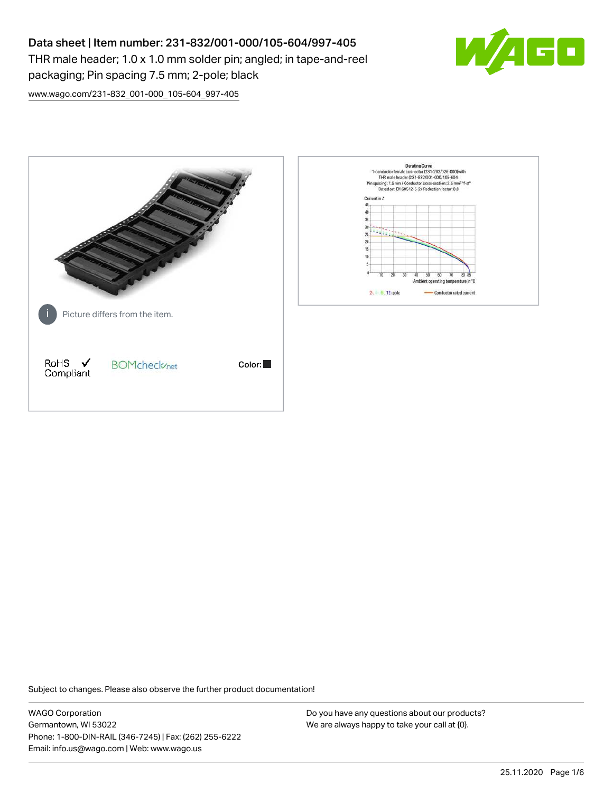# Data sheet | Item number: 231-832/001-000/105-604/997-405

THR male header; 1.0 x 1.0 mm solder pin; angled; in tape-and-reel packaging; Pin spacing 7.5 mm; 2-pole; black



[www.wago.com/231-832\\_001-000\\_105-604\\_997-405](http://www.wago.com/231-832_001-000_105-604_997-405)



Subject to changes. Please also observe the further product documentation!

WAGO Corporation Germantown, WI 53022 Phone: 1-800-DIN-RAIL (346-7245) | Fax: (262) 255-6222 Email: info.us@wago.com | Web: www.wago.us

Do you have any questions about our products? We are always happy to take your call at {0}.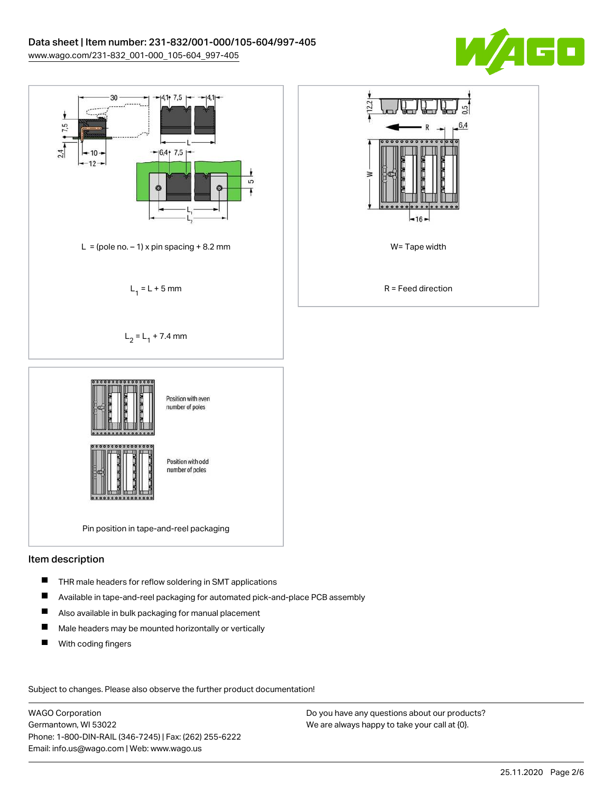



### Item description

- П THR male headers for reflow soldering in SMT applications
- П Available in tape-and-reel packaging for automated pick-and-place PCB assembly
- $\blacksquare$ Also available in bulk packaging for manual placement
- $\blacksquare$ Male headers may be mounted horizontally or vertically
- $\blacksquare$ With coding fingers

Subject to changes. Please also observe the further product documentation!

WAGO Corporation Germantown, WI 53022 Phone: 1-800-DIN-RAIL (346-7245) | Fax: (262) 255-6222 Email: info.us@wago.com | Web: www.wago.us

Do you have any questions about our products? We are always happy to take your call at {0}.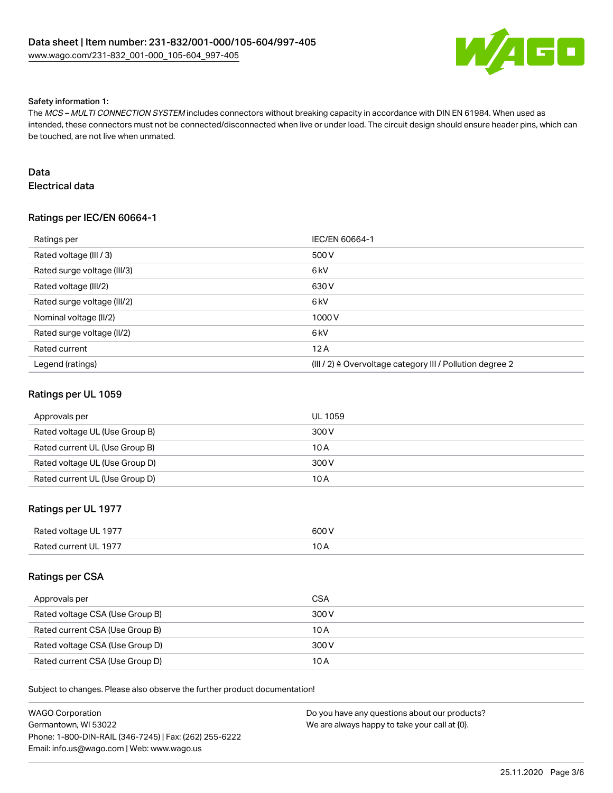

#### Safety information 1:

The MCS – MULTI CONNECTION SYSTEM includes connectors without breaking capacity in accordance with DIN EN 61984. When used as intended, these connectors must not be connected/disconnected when live or under load. The circuit design should ensure header pins, which can be touched, are not live when unmated.

## Data

Electrical data

## Ratings per IEC/EN 60664-1

| Ratings per                 | IEC/EN 60664-1                                            |
|-----------------------------|-----------------------------------------------------------|
| Rated voltage (III / 3)     | 500 V                                                     |
| Rated surge voltage (III/3) | 6 <sub>kV</sub>                                           |
| Rated voltage (III/2)       | 630 V                                                     |
| Rated surge voltage (III/2) | 6 <sub>kV</sub>                                           |
| Nominal voltage (II/2)      | 1000V                                                     |
| Rated surge voltage (II/2)  | 6 <sub>kV</sub>                                           |
| Rated current               | 12A                                                       |
| Legend (ratings)            | (III / 2) ≙ Overvoltage category III / Pollution degree 2 |

### Ratings per UL 1059

| Approvals per                  | <b>UL 1059</b> |
|--------------------------------|----------------|
| Rated voltage UL (Use Group B) | 300 V          |
| Rated current UL (Use Group B) | 10 A           |
| Rated voltage UL (Use Group D) | 300 V          |
| Rated current UL (Use Group D) | 10 A           |

### Ratings per UL 1977

| Rated voltage UL 1977 | 600 V |
|-----------------------|-------|
| Rated current UL 1977 |       |

### Ratings per CSA

| Approvals per                   | <b>CSA</b> |
|---------------------------------|------------|
| Rated voltage CSA (Use Group B) | 300 V      |
| Rated current CSA (Use Group B) | 10 A       |
| Rated voltage CSA (Use Group D) | 300 V      |
| Rated current CSA (Use Group D) | 10 A       |

Subject to changes. Please also observe the further product documentation!

| WAGO Corporation                                       | Do you have any questions about our products? |
|--------------------------------------------------------|-----------------------------------------------|
| Germantown. WI 53022                                   | We are always happy to take your call at {0}. |
| Phone: 1-800-DIN-RAIL (346-7245)   Fax: (262) 255-6222 |                                               |
| Email: info.us@wago.com   Web: www.wago.us             |                                               |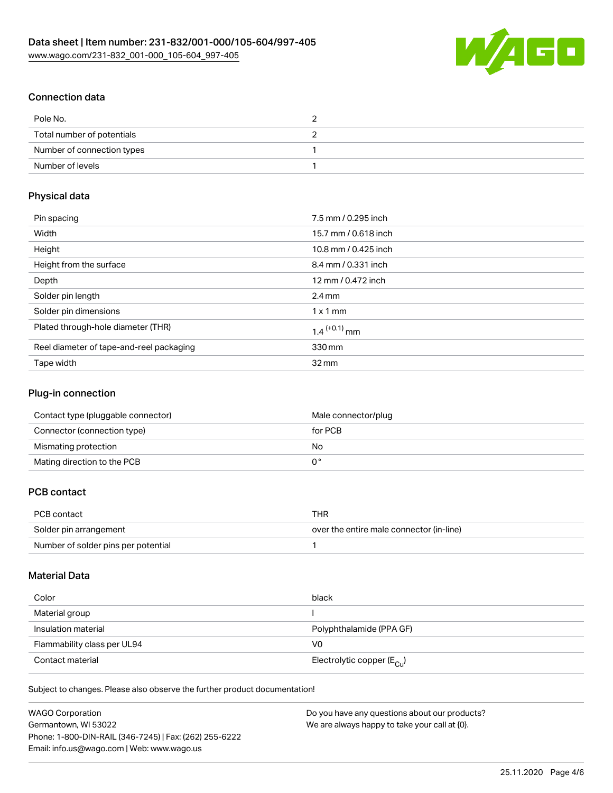

## Connection data

| Pole No.                   |  |
|----------------------------|--|
| Total number of potentials |  |
| Number of connection types |  |
| Number of levels           |  |

### Physical data

| Pin spacing                              | 7.5 mm / 0.295 inch        |
|------------------------------------------|----------------------------|
| Width                                    | 15.7 mm / 0.618 inch       |
| Height                                   | 10.8 mm / 0.425 inch       |
| Height from the surface                  | 8.4 mm / 0.331 inch        |
| Depth                                    | 12 mm / 0.472 inch         |
| Solder pin length                        | $2.4 \text{ mm}$           |
| Solder pin dimensions                    | $1 \times 1$ mm            |
| Plated through-hole diameter (THR)       | $1.4$ <sup>(+0.1)</sup> mm |
| Reel diameter of tape-and-reel packaging | 330 mm                     |
| Tape width                               | $32 \,\mathrm{mm}$         |

### Plug-in connection

| Contact type (pluggable connector) | Male connector/plug |
|------------------------------------|---------------------|
| Connector (connection type)        | for PCB             |
| Mismating protection               | No.                 |
| Mating direction to the PCB        |                     |

## PCB contact

| PCB contact                         | THR                                      |
|-------------------------------------|------------------------------------------|
| Solder pin arrangement              | over the entire male connector (in-line) |
| Number of solder pins per potential |                                          |

## Material Data

| Color                       | black                                   |
|-----------------------------|-----------------------------------------|
| Material group              |                                         |
| Insulation material         | Polyphthalamide (PPA GF)                |
| Flammability class per UL94 | V0                                      |
| Contact material            | Electrolytic copper ( $E_{\text{Cu}}$ ) |

Subject to changes. Please also observe the further product documentation!

| <b>WAGO Corporation</b>                                | Do you have any questions about our products? |
|--------------------------------------------------------|-----------------------------------------------|
| Germantown, WI 53022                                   | We are always happy to take your call at {0}. |
| Phone: 1-800-DIN-RAIL (346-7245)   Fax: (262) 255-6222 |                                               |
| Email: info.us@wago.com   Web: www.wago.us             |                                               |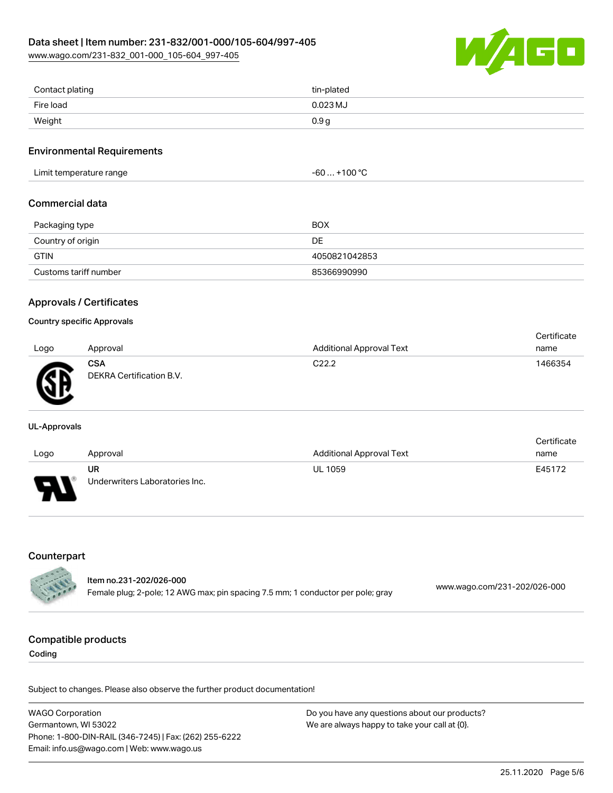[www.wago.com/231-832\\_001-000\\_105-604\\_997-405](http://www.wago.com/231-832_001-000_105-604_997-405)



| Contact plating | tin-plated       |
|-----------------|------------------|
| Fire load       | $0.023$ MJ       |
| Weight          | 0.9 <sub>g</sub> |

### Environmental Requirements

| Limit temperature range | -60  +100 °C |
|-------------------------|--------------|
|                         |              |

#### Commercial data

| Packaging type        | BOX           |
|-----------------------|---------------|
| Country of origin     | DE            |
| <b>GTIN</b>           | 4050821042853 |
| Customs tariff number | 85366990990   |

### Approvals / Certificates

#### Country specific Approvals

| Logo    | Approval                               | <b>Additional Approval Text</b> | Certificate<br>name |
|---------|----------------------------------------|---------------------------------|---------------------|
| Ж<br>-- | <b>CSA</b><br>DEKRA Certification B.V. | C <sub>22.2</sub>               | 1466354             |

#### UL-Approvals

| Logo                     | Approval                             | <b>Additional Approval Text</b> | Certificate<br>name |
|--------------------------|--------------------------------------|---------------------------------|---------------------|
| $\overline{\phantom{0}}$ | UR<br>Underwriters Laboratories Inc. | <b>UL 1059</b>                  | E45172              |

### Counterpart

|                   | ltem no.231-202/026-000                                                         |                              |
|-------------------|---------------------------------------------------------------------------------|------------------------------|
| <b>CONTRACTOR</b> | Female plug; 2-pole; 12 AWG max; pin spacing 7.5 mm; 1 conductor per pole; gray | www.wago.com/231-202/026-000 |

### Compatible products

Coding

Subject to changes. Please also observe the further product documentation!

WAGO Corporation Germantown, WI 53022 Phone: 1-800-DIN-RAIL (346-7245) | Fax: (262) 255-6222 Email: info.us@wago.com | Web: www.wago.us Do you have any questions about our products? We are always happy to take your call at {0}.